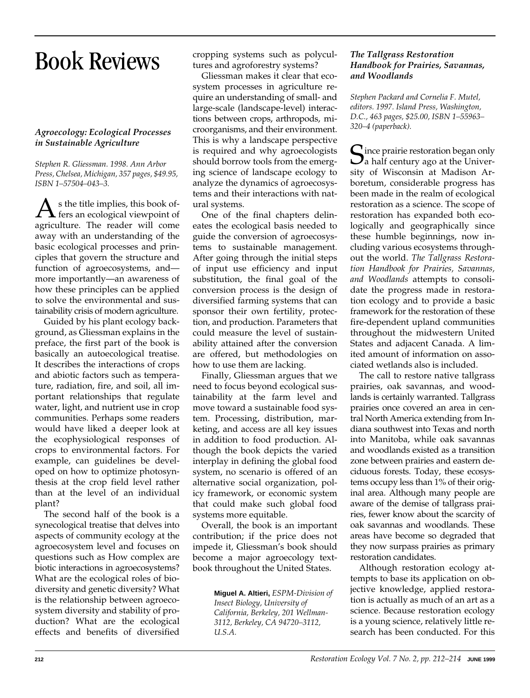## Book Reviews

## *Agroecology: Ecological Processes in Sustainable Agriculture*

*Stephen R. Gliessman. 1998. Ann Arbor Press, Chelsea, Michigan, 357 pages, \$49.95, ISBN 1–57504–043–3.*

 $\mathbf{A}$  s the title implies, this book of-<br>fers an ecological viewpoint of agriculture. The reader will come away with an understanding of the basic ecological processes and principles that govern the structure and function of agroecosystems, and more importantly—an awareness of how these principles can be applied to solve the environmental and sustainability crisis of modern agriculture.

Guided by his plant ecology background, as Gliessman explains in the preface, the first part of the book is basically an autoecological treatise. It describes the interactions of crops and abiotic factors such as temperature, radiation, fire, and soil, all important relationships that regulate water, light, and nutrient use in crop communities. Perhaps some readers would have liked a deeper look at the ecophysiological responses of crops to environmental factors. For example, can guidelines be developed on how to optimize photosynthesis at the crop field level rather than at the level of an individual plant?

The second half of the book is a synecological treatise that delves into aspects of community ecology at the agroecosystem level and focuses on questions such as How complex are biotic interactions in agroecosystems? What are the ecological roles of biodiversity and genetic diversity? What is the relationship between agroecosystem diversity and stability of production? What are the ecological effects and benefits of diversified

cropping systems such as polycultures and agroforestry systems?

Gliessman makes it clear that ecosystem processes in agriculture require an understanding of small- and large-scale (landscape-level) interactions between crops, arthropods, microorganisms, and their environment. This is why a landscape perspective is required and why agroecologists should borrow tools from the emerging science of landscape ecology to analyze the dynamics of agroecosystems and their interactions with natural systems.

One of the final chapters delineates the ecological basis needed to guide the conversion of agroecosystems to sustainable management. After going through the initial steps of input use efficiency and input substitution, the final goal of the conversion process is the design of diversified farming systems that can sponsor their own fertility, protection, and production. Parameters that could measure the level of sustainability attained after the conversion are offered, but methodologies on how to use them are lacking.

Finally, Gliessman argues that we need to focus beyond ecological sustainability at the farm level and move toward a sustainable food system. Processing, distribution, marketing, and access are all key issues in addition to food production. Although the book depicts the varied interplay in defining the global food system, no scenario is offered of an alternative social organization, policy framework, or economic system that could make such global food systems more equitable.

Overall, the book is an important contribution; if the price does not impede it, Gliessman's book should become a major agroecology textbook throughout the United States.

> **Miguel A. Altieri,** *ESPM-Division of Insect Biology, University of California, Berkeley, 201 Wellman-3112, Berkeley, CA 94720–3112, U.S.A.*

## *The Tallgrass Restoration Handbook for Prairies, Savannas, and Woodlands*

*Stephen Packard and Cornelia F. Mutel, editors. 1997. Island Press, Washington, D.C., 463 pages, \$25.00, ISBN 1–55963– 320–4 (paperback).*

C ince prairie restoration began only  $\bigcup$  a half century ago at the University of Wisconsin at Madison Arboretum, considerable progress has been made in the realm of ecological restoration as a science. The scope of restoration has expanded both ecologically and geographically since these humble beginnings, now including various ecosystems throughout the world. *The Tallgrass Restoration Handbook for Prairies, Savannas, and Woodlands* attempts to consolidate the progress made in restoration ecology and to provide a basic framework for the restoration of these fire-dependent upland communities throughout the midwestern United States and adjacent Canada. A limited amount of information on associated wetlands also is included.

The call to restore native tallgrass prairies, oak savannas, and woodlands is certainly warranted. Tallgrass prairies once covered an area in central North America extending from Indiana southwest into Texas and north into Manitoba, while oak savannas and woodlands existed as a transition zone between prairies and eastern deciduous forests. Today, these ecosystems occupy less than 1% of their original area. Although many people are aware of the demise of tallgrass prairies, fewer know about the scarcity of oak savannas and woodlands. These areas have become so degraded that they now surpass prairies as primary restoration candidates.

Although restoration ecology attempts to base its application on objective knowledge, applied restoration is actually as much of an art as a science. Because restoration ecology is a young science, relatively little research has been conducted. For this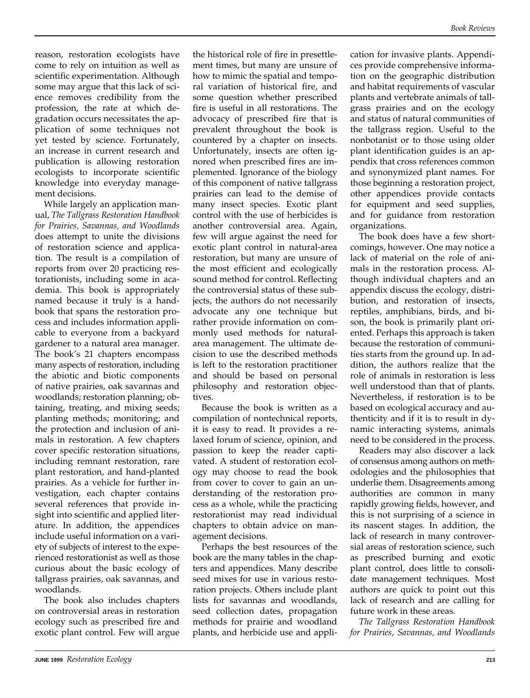reason, restoration ecologists have come to rely on intuition as well as scientific experimentation. Although some may argue that this lack of science removes credibility from the profession, the rate at which degradation occurs necessitates the application of some techniques not yet tested by science. Fortunately, an increase in current research and publication is allowing restoration ecologists to incorporate scientific knowledge into everyday manage-

ment decisions. While largely an application manual, *The Tallgrass Restoration Handbook for Prairies, Savannas, and Woodlands* does attempt to unite the divisions of restoration science and application. The result is a compilation of reports from over 20 practicing restorationists, including some in academia. This book is appropriately named because it truly is a handbook that spans the restoration process and includes information applicable to everyone from a backyard gardener to a natural area manager. The book's 21 chapters encompass many aspects of restoration, including the abiotic and biotic components of native prairies, oak savannas and woodlands; restoration planning; obtaining, treating, and mixing seeds; planting methods; monitoring; and the protection and inclusion of animals in restoration. A few chapters cover specific restoration situations, including remnant restoration, rare plant restoration, and hand-planted prairies. As a vehicle for further investigation, each chapter contains several references that provide insight into scientific and applied literature. In addition, the appendices include useful information on a variety of subjects of interest to the experienced restorationist as well as those curious about the basic ecology of tallgrass prairies, oak savannas, and woodlands.

The book also includes chapters on controversial areas in restoration ecology such as prescribed fire and exotic plant control. Few will argue

the historical role of fire in presettlement times, but many are unsure of how to mimic the spatial and temporal variation of historical fire, and some question whether prescribed fire is useful in all restorations. The advocacy of prescribed fire that is prevalent throughout the book is countered by a chapter on insects. Unfortunately, insects are often ignored when prescribed fires are implemented. Ignorance of the biology of this component of native tallgrass prairies can lead to the demise of many insect species. Exotic plant control with the use of herbicides is another controversial area. Again, few will argue against the need for exotic plant control in natural-area restoration, but many are unsure of the most efficient and ecologically sound method for control. Reflecting the controversial status of these subjects, the authors do not necessarily advocate any one technique but rather provide information on commonly used methods for naturalarea management. The ultimate decision to use the described methods is left to the restoration practitioner and should be based on personal philosophy and restoration objectives.

Because the book is written as a compilation of nontechnical reports, it is easy to read. It provides a relaxed forum of science, opinion, and passion to keep the reader captivated. A student of restoration ecology may choose to read the book from cover to cover to gain an understanding of the restoration process as a whole, while the practicing restorationist may read individual chapters to obtain advice on management decisions.

Perhaps the best resources of the book are the many tables in the chapters and appendices. Many describe seed mixes for use in various restoration projects. Others include plant lists for savannas and woodlands, seed collection dates, propagation methods for prairie and woodland plants, and herbicide use and application for invasive plants. Appendices provide comprehensive information on the geographic distribution and habitat requirements of vascular plants and vertebrate animals of tallgrass prairies and on the ecology and status of natural communities of the tallgrass region. Useful to the nonbotanist or to those using older plant identification guides is an appendix that cross references common and synonymized plant names. For those beginning a restoration project, other appendices provide contacts for equipment and seed supplies, and for guidance from restoration organizations.

The book does have a few shortcomings, however. One may notice a lack of material on the role of animals in the restoration process. Although individual chapters and an appendix discuss the ecology, distribution, and restoration of insects, reptiles, amphibians, birds, and bison, the book is primarily plant oriented. Perhaps this approach is taken because the restoration of communities starts from the ground up. In addition, the authors realize that the role of animals in restoration is less well understood than that of plants. Nevertheless, if restoration is to be based on ecological accuracy and authenticity and if it is to result in dynamic interacting systems, animals need to be considered in the process.

Readers may also discover a lack of consensus among authors on methodologies and the philosophies that underlie them. Disagreements among authorities are common in many rapidly growing fields, however, and this is not surprising of a science in its nascent stages. In addition, the lack of research in many controversial areas of restoration science, such as prescribed burning and exotic plant control, does little to consolidate management techniques. Most authors are quick to point out this lack of research and are calling for future work in these areas.

*The Tallgrass Restoration Handbook for Prairies, Savannas, and Woodlands*